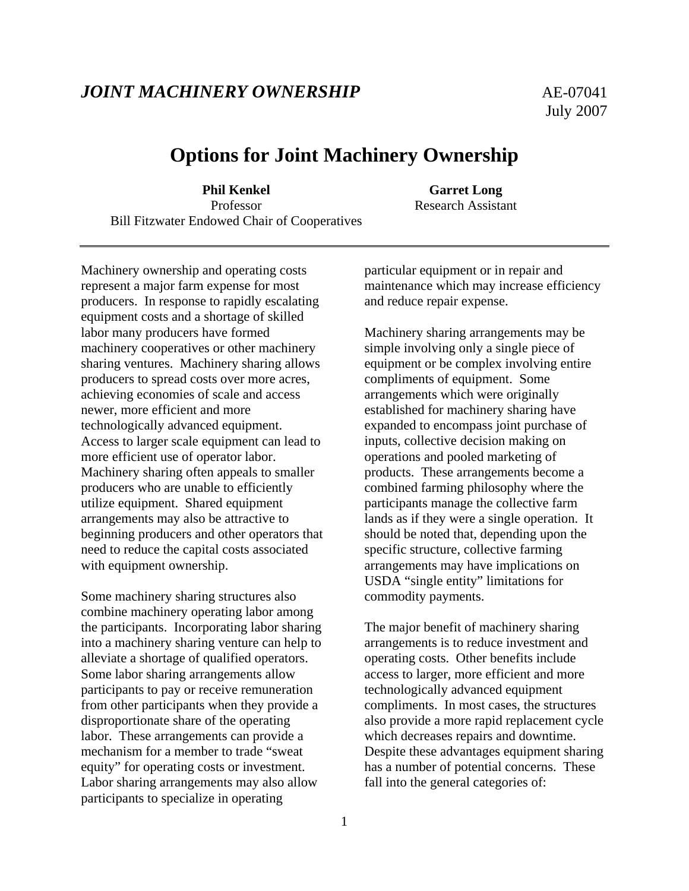## *JOINT MACHINERY OWNERSHIP* AE-07041

# **Options for Joint Machinery Ownership**

**Phil Kenkel Garret Long** Professor Research Assistant Bill Fitzwater Endowed Chair of Cooperatives

Machinery ownership and operating costs represent a major farm expense for most producers. In response to rapidly escalating equipment costs and a shortage of skilled labor many producers have formed machinery cooperatives or other machinery sharing ventures. Machinery sharing allows producers to spread costs over more acres, achieving economies of scale and access newer, more efficient and more technologically advanced equipment. Access to larger scale equipment can lead to more efficient use of operator labor. Machinery sharing often appeals to smaller producers who are unable to efficiently utilize equipment. Shared equipment arrangements may also be attractive to beginning producers and other operators that need to reduce the capital costs associated with equipment ownership.

Some machinery sharing structures also combine machinery operating labor among the participants. Incorporating labor sharing into a machinery sharing venture can help to alleviate a shortage of qualified operators. Some labor sharing arrangements allow participants to pay or receive remuneration from other participants when they provide a disproportionate share of the operating labor. These arrangements can provide a mechanism for a member to trade "sweat equity" for operating costs or investment. Labor sharing arrangements may also allow participants to specialize in operating

particular equipment or in repair and maintenance which may increase efficiency and reduce repair expense.

Machinery sharing arrangements may be simple involving only a single piece of equipment or be complex involving entire compliments of equipment. Some arrangements which were originally established for machinery sharing have expanded to encompass joint purchase of inputs, collective decision making on operations and pooled marketing of products. These arrangements become a combined farming philosophy where the participants manage the collective farm lands as if they were a single operation. It should be noted that, depending upon the specific structure, collective farming arrangements may have implications on USDA "single entity" limitations for commodity payments.

The major benefit of machinery sharing arrangements is to reduce investment and operating costs. Other benefits include access to larger, more efficient and more technologically advanced equipment compliments. In most cases, the structures also provide a more rapid replacement cycle which decreases repairs and downtime. Despite these advantages equipment sharing has a number of potential concerns. These fall into the general categories of: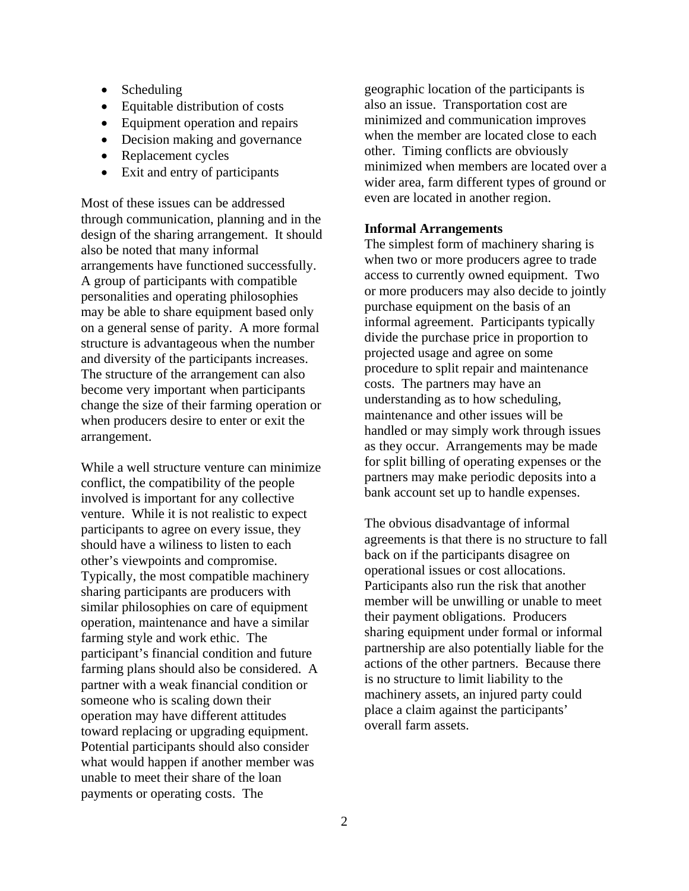- Scheduling
- Equitable distribution of costs
- Equipment operation and repairs
- Decision making and governance
- Replacement cycles
- Exit and entry of participants

Most of these issues can be addressed through communication, planning and in the design of the sharing arrangement. It should also be noted that many informal arrangements have functioned successfully. A group of participants with compatible personalities and operating philosophies may be able to share equipment based only on a general sense of parity. A more formal structure is advantageous when the number and diversity of the participants increases. The structure of the arrangement can also become very important when participants change the size of their farming operation or when producers desire to enter or exit the arrangement.

While a well structure venture can minimize conflict, the compatibility of the people involved is important for any collective venture. While it is not realistic to expect participants to agree on every issue, they should have a wiliness to listen to each other's viewpoints and compromise. Typically, the most compatible machinery sharing participants are producers with similar philosophies on care of equipment operation, maintenance and have a similar farming style and work ethic. The participant's financial condition and future farming plans should also be considered. A partner with a weak financial condition or someone who is scaling down their operation may have different attitudes toward replacing or upgrading equipment. Potential participants should also consider what would happen if another member was unable to meet their share of the loan payments or operating costs. The

geographic location of the participants is also an issue. Transportation cost are minimized and communication improves when the member are located close to each other. Timing conflicts are obviously minimized when members are located over a wider area, farm different types of ground or even are located in another region.

## **Informal Arrangements**

The simplest form of machinery sharing is when two or more producers agree to trade access to currently owned equipment. Two or more producers may also decide to jointly purchase equipment on the basis of an informal agreement. Participants typically divide the purchase price in proportion to projected usage and agree on some procedure to split repair and maintenance costs. The partners may have an understanding as to how scheduling, maintenance and other issues will be handled or may simply work through issues as they occur. Arrangements may be made for split billing of operating expenses or the partners may make periodic deposits into a bank account set up to handle expenses.

The obvious disadvantage of informal agreements is that there is no structure to fall back on if the participants disagree on operational issues or cost allocations. Participants also run the risk that another member will be unwilling or unable to meet their payment obligations. Producers sharing equipment under formal or informal partnership are also potentially liable for the actions of the other partners. Because there is no structure to limit liability to the machinery assets, an injured party could place a claim against the participants' overall farm assets.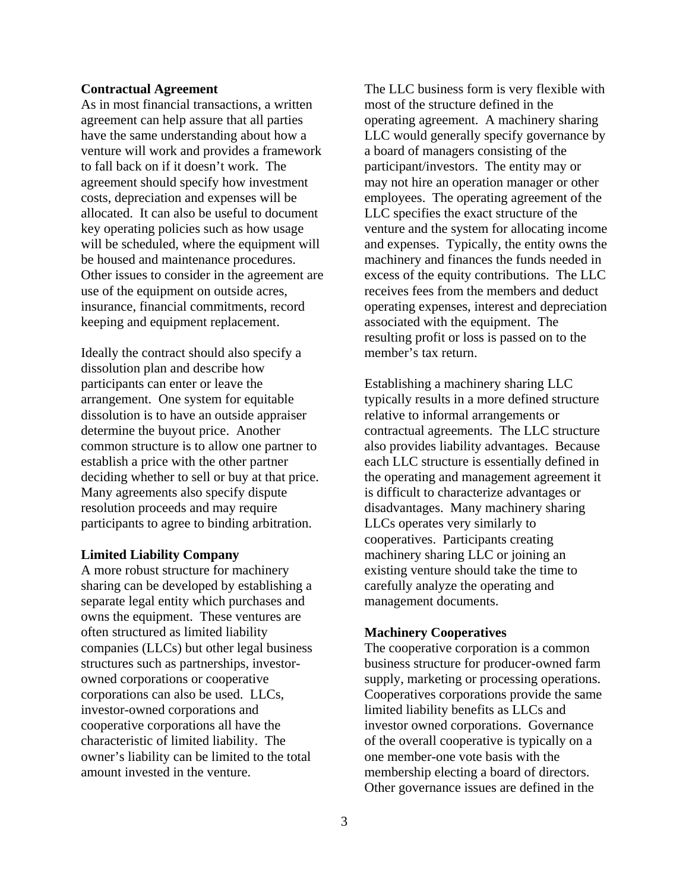#### **Contractual Agreement**

As in most financial transactions, a written agreement can help assure that all parties have the same understanding about how a venture will work and provides a framework to fall back on if it doesn't work. The agreement should specify how investment costs, depreciation and expenses will be allocated. It can also be useful to document key operating policies such as how usage will be scheduled, where the equipment will be housed and maintenance procedures. Other issues to consider in the agreement are use of the equipment on outside acres, insurance, financial commitments, record keeping and equipment replacement.

Ideally the contract should also specify a dissolution plan and describe how participants can enter or leave the arrangement. One system for equitable dissolution is to have an outside appraiser determine the buyout price. Another common structure is to allow one partner to establish a price with the other partner deciding whether to sell or buy at that price. Many agreements also specify dispute resolution proceeds and may require participants to agree to binding arbitration.

#### **Limited Liability Company**

A more robust structure for machinery sharing can be developed by establishing a separate legal entity which purchases and owns the equipment. These ventures are often structured as limited liability companies (LLCs) but other legal business structures such as partnerships, investorowned corporations or cooperative corporations can also be used. LLCs, investor-owned corporations and cooperative corporations all have the characteristic of limited liability. The owner's liability can be limited to the total amount invested in the venture.

The LLC business form is very flexible with most of the structure defined in the operating agreement. A machinery sharing LLC would generally specify governance by a board of managers consisting of the participant/investors. The entity may or may not hire an operation manager or other employees. The operating agreement of the LLC specifies the exact structure of the venture and the system for allocating income and expenses. Typically, the entity owns the machinery and finances the funds needed in excess of the equity contributions. The LLC receives fees from the members and deduct operating expenses, interest and depreciation associated with the equipment. The resulting profit or loss is passed on to the member's tax return.

Establishing a machinery sharing LLC typically results in a more defined structure relative to informal arrangements or contractual agreements. The LLC structure also provides liability advantages. Because each LLC structure is essentially defined in the operating and management agreement it is difficult to characterize advantages or disadvantages. Many machinery sharing LLCs operates very similarly to cooperatives. Participants creating machinery sharing LLC or joining an existing venture should take the time to carefully analyze the operating and management documents.

## **Machinery Cooperatives**

The cooperative corporation is a common business structure for producer-owned farm supply, marketing or processing operations. Cooperatives corporations provide the same limited liability benefits as LLCs and investor owned corporations. Governance of the overall cooperative is typically on a one member-one vote basis with the membership electing a board of directors. Other governance issues are defined in the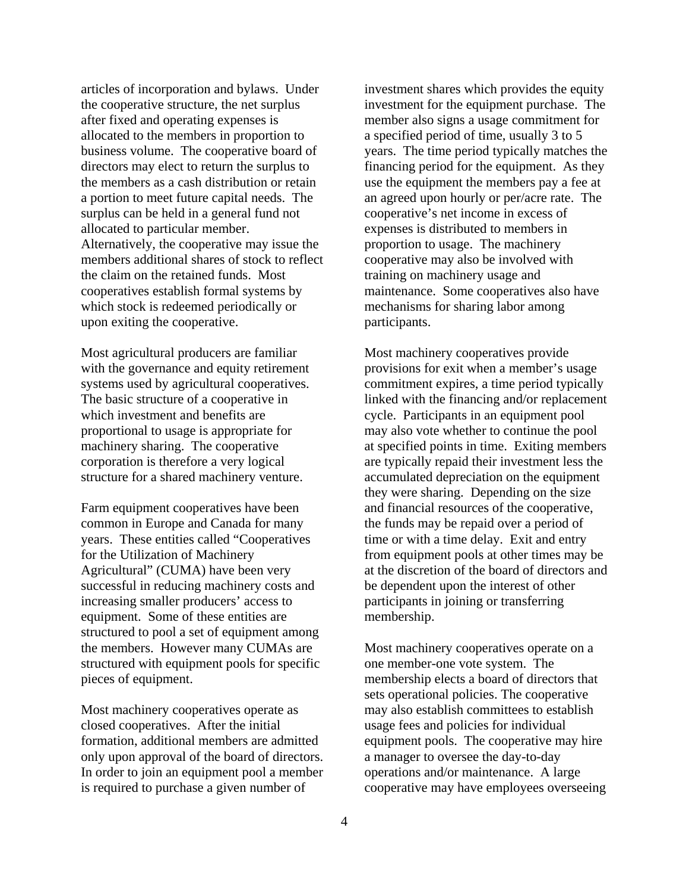articles of incorporation and bylaws. Under the cooperative structure, the net surplus after fixed and operating expenses is allocated to the members in proportion to business volume. The cooperative board of directors may elect to return the surplus to the members as a cash distribution or retain a portion to meet future capital needs. The surplus can be held in a general fund not allocated to particular member. Alternatively, the cooperative may issue the members additional shares of stock to reflect the claim on the retained funds. Most cooperatives establish formal systems by which stock is redeemed periodically or upon exiting the cooperative.

Most agricultural producers are familiar with the governance and equity retirement systems used by agricultural cooperatives. The basic structure of a cooperative in which investment and benefits are proportional to usage is appropriate for machinery sharing. The cooperative corporation is therefore a very logical structure for a shared machinery venture.

Farm equipment cooperatives have been common in Europe and Canada for many years. These entities called "Cooperatives for the Utilization of Machinery Agricultural" (CUMA) have been very successful in reducing machinery costs and increasing smaller producers' access to equipment. Some of these entities are structured to pool a set of equipment among the members. However many CUMAs are structured with equipment pools for specific pieces of equipment.

Most machinery cooperatives operate as closed cooperatives. After the initial formation, additional members are admitted only upon approval of the board of directors. In order to join an equipment pool a member is required to purchase a given number of

investment shares which provides the equity investment for the equipment purchase. The member also signs a usage commitment for a specified period of time, usually 3 to 5 years. The time period typically matches the financing period for the equipment. As they use the equipment the members pay a fee at an agreed upon hourly or per/acre rate. The cooperative's net income in excess of expenses is distributed to members in proportion to usage. The machinery cooperative may also be involved with training on machinery usage and maintenance. Some cooperatives also have mechanisms for sharing labor among participants.

Most machinery cooperatives provide provisions for exit when a member's usage commitment expires, a time period typically linked with the financing and/or replacement cycle. Participants in an equipment pool may also vote whether to continue the pool at specified points in time. Exiting members are typically repaid their investment less the accumulated depreciation on the equipment they were sharing. Depending on the size and financial resources of the cooperative, the funds may be repaid over a period of time or with a time delay. Exit and entry from equipment pools at other times may be at the discretion of the board of directors and be dependent upon the interest of other participants in joining or transferring membership.

Most machinery cooperatives operate on a one member-one vote system. The membership elects a board of directors that sets operational policies. The cooperative may also establish committees to establish usage fees and policies for individual equipment pools. The cooperative may hire a manager to oversee the day-to-day operations and/or maintenance. A large cooperative may have employees overseeing